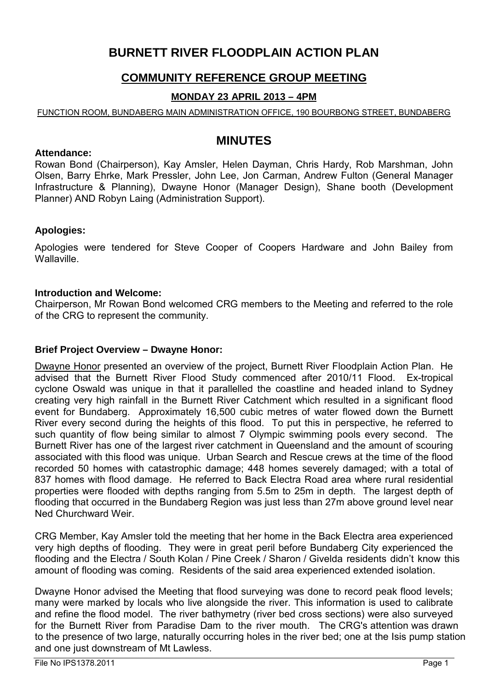# **BURNETT RIVER FLOODPLAIN ACTION PLAN**

## **COMMUNITY REFERENCE GROUP MEETING**

### **MONDAY 23 APRIL 2013 – 4PM**

#### FUNCTION ROOM, BUNDABERG MAIN ADMINISTRATION OFFICE, 190 BOURBONG STREET, BUNDABERG

# **MINUTES**

#### **Attendance:**

Rowan Bond (Chairperson), Kay Amsler, Helen Dayman, Chris Hardy, Rob Marshman, John Olsen, Barry Ehrke, Mark Pressler, John Lee, Jon Carman, Andrew Fulton (General Manager Infrastructure & Planning), Dwayne Honor (Manager Design), Shane booth (Development Planner) AND Robyn Laing (Administration Support).

#### **Apologies:**

Apologies were tendered for Steve Cooper of Coopers Hardware and John Bailey from Wallaville.

#### **Introduction and Welcome:**

Chairperson, Mr Rowan Bond welcomed CRG members to the Meeting and referred to the role of the CRG to represent the community.

#### **Brief Project Overview – Dwayne Honor:**

Dwayne Honor presented an overview of the project, Burnett River Floodplain Action Plan. He advised that the Burnett River Flood Study commenced after 2010/11 Flood. Ex-tropical cyclone Oswald was unique in that it parallelled the coastline and headed inland to Sydney creating very high rainfall in the Burnett River Catchment which resulted in a significant flood event for Bundaberg. Approximately 16,500 cubic metres of water flowed down the Burnett River every second during the heights of this flood. To put this in perspective, he referred to such quantity of flow being similar to almost 7 Olympic swimming pools every second. The Burnett River has one of the largest river catchment in Queensland and the amount of scouring associated with this flood was unique. Urban Search and Rescue crews at the time of the flood recorded 50 homes with catastrophic damage; 448 homes severely damaged; with a total of 837 homes with flood damage. He referred to Back Electra Road area where rural residential properties were flooded with depths ranging from 5.5m to 25m in depth. The largest depth of flooding that occurred in the Bundaberg Region was just less than 27m above ground level near Ned Churchward Weir.

CRG Member, Kay Amsler told the meeting that her home in the Back Electra area experienced very high depths of flooding. They were in great peril before Bundaberg City experienced the flooding and the Electra / South Kolan / Pine Creek / Sharon / Givelda residents didn't know this amount of flooding was coming. Residents of the said area experienced extended isolation.

Dwayne Honor advised the Meeting that flood surveying was done to record peak flood levels; many were marked by locals who live alongside the river. This information is used to calibrate and refine the flood model. The river bathymetry (river bed cross sections) were also surveyed for the Burnett River from Paradise Dam to the river mouth. The CRG's attention was drawn to the presence of two large, naturally occurring holes in the river bed; one at the Isis pump station and one just downstream of Mt Lawless.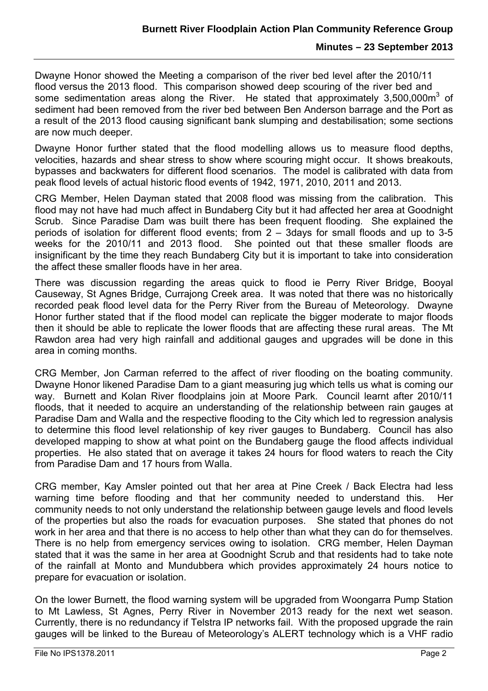Dwayne Honor showed the Meeting a comparison of the river bed level after the 2010/11 flood versus the 2013 flood. This comparison showed deep scouring of the river bed and some sedimentation areas along the River. He stated that approximately 3,500,000m<sup>3</sup> of sediment had been removed from the river bed between Ben Anderson barrage and the Port as a result of the 2013 flood causing significant bank slumping and destabilisation; some sections are now much deeper.

Dwayne Honor further stated that the flood modelling allows us to measure flood depths, velocities, hazards and shear stress to show where scouring might occur. It shows breakouts, bypasses and backwaters for different flood scenarios. The model is calibrated with data from peak flood levels of actual historic flood events of 1942, 1971, 2010, 2011 and 2013.

CRG Member, Helen Dayman stated that 2008 flood was missing from the calibration. This flood may not have had much affect in Bundaberg City but it had affected her area at Goodnight Scrub. Since Paradise Dam was built there has been frequent flooding. She explained the periods of isolation for different flood events; from 2 – 3days for small floods and up to 3-5 weeks for the 2010/11 and 2013 flood. She pointed out that these smaller floods are insignificant by the time they reach Bundaberg City but it is important to take into consideration the affect these smaller floods have in her area.

There was discussion regarding the areas quick to flood ie Perry River Bridge, Booyal Causeway, St Agnes Bridge, Currajong Creek area. It was noted that there was no historically recorded peak flood level data for the Perry River from the Bureau of Meteorology. Dwayne Honor further stated that if the flood model can replicate the bigger moderate to major floods then it should be able to replicate the lower floods that are affecting these rural areas. The Mt Rawdon area had very high rainfall and additional gauges and upgrades will be done in this area in coming months.

CRG Member, Jon Carman referred to the affect of river flooding on the boating community. Dwayne Honor likened Paradise Dam to a giant measuring jug which tells us what is coming our way. Burnett and Kolan River floodplains join at Moore Park. Council learnt after 2010/11 floods, that it needed to acquire an understanding of the relationship between rain gauges at Paradise Dam and Walla and the respective flooding to the City which led to regression analysis to determine this flood level relationship of key river gauges to Bundaberg. Council has also developed mapping to show at what point on the Bundaberg gauge the flood affects individual properties. He also stated that on average it takes 24 hours for flood waters to reach the City from Paradise Dam and 17 hours from Walla.

CRG member, Kay Amsler pointed out that her area at Pine Creek / Back Electra had less warning time before flooding and that her community needed to understand this. Her community needs to not only understand the relationship between gauge levels and flood levels of the properties but also the roads for evacuation purposes. She stated that phones do not work in her area and that there is no access to help other than what they can do for themselves. There is no help from emergency services owing to isolation. CRG member, Helen Dayman stated that it was the same in her area at Goodnight Scrub and that residents had to take note of the rainfall at Monto and Mundubbera which provides approximately 24 hours notice to prepare for evacuation or isolation.

On the lower Burnett, the flood warning system will be upgraded from Woongarra Pump Station to Mt Lawless, St Agnes, Perry River in November 2013 ready for the next wet season. Currently, there is no redundancy if Telstra IP networks fail. With the proposed upgrade the rain gauges will be linked to the Bureau of Meteorology's ALERT technology which is a VHF radio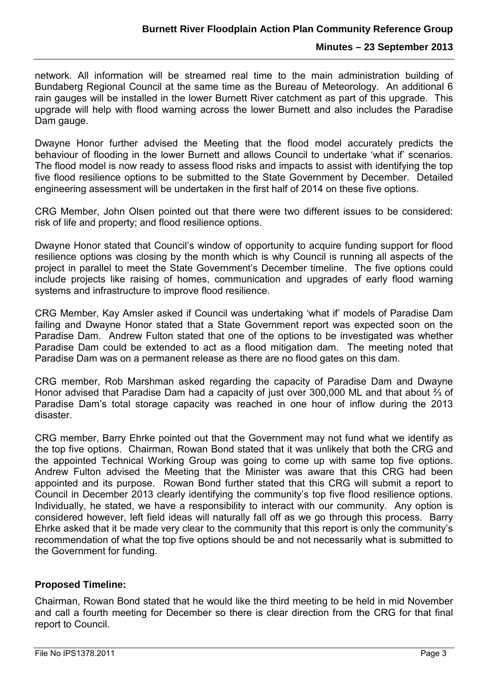network. All information will be streamed real time to the main administration building of Bundaberg Regional Council at the same time as the Bureau of Meteorology. An additional 6 rain gauges will be installed in the lower Burnett River catchment as part of this upgrade. This upgrade will help with flood warning across the lower Burnett and also includes the Paradise Dam gauge.

Dwayne Honor further advised the Meeting that the flood model accurately predicts the behaviour of flooding in the lower Burnett and allows Council to undertake 'what if' scenarios. The flood model is now ready to assess flood risks and impacts to assist with identifying the top five flood resilience options to be submitted to the State Government by December. Detailed engineering assessment will be undertaken in the first half of 2014 on these five options.

CRG Member, John Olsen pointed out that there were two different issues to be considered: risk of life and property; and flood resilience options.

Dwayne Honor stated that Council's window of opportunity to acquire funding support for flood resilience options was closing by the month which is why Council is running all aspects of the project in parallel to meet the State Government's December timeline. The five options could include projects like raising of homes, communication and upgrades of early flood warning systems and infrastructure to improve flood resilience.

CRG Member, Kay Amsler asked if Council was undertaking 'what if' models of Paradise Dam failing and Dwayne Honor stated that a State Government report was expected soon on the Paradise Dam. Andrew Fulton stated that one of the options to be investigated was whether Paradise Dam could be extended to act as a flood mitigation dam. The meeting noted that Paradise Dam was on a permanent release as there are no flood gates on this dam.

CRG member, Rob Marshman asked regarding the capacity of Paradise Dam and Dwayne Honor advised that Paradise Dam had a capacity of just over 300,000 ML and that about ⅔ of Paradise Dam's total storage capacity was reached in one hour of inflow during the 2013 disaster.

CRG member, Barry Ehrke pointed out that the Government may not fund what we identify as the top five options. Chairman, Rowan Bond stated that it was unlikely that both the CRG and the appointed Technical Working Group was going to come up with same top five options. Andrew Fulton advised the Meeting that the Minister was aware that this CRG had been appointed and its purpose. Rowan Bond further stated that this CRG will submit a report to Council in December 2013 clearly identifying the community's top five flood resilience options. Individually, he stated, we have a responsibility to interact with our community. Any option is considered however, left field ideas will naturally fall off as we go through this process. Barry Ehrke asked that it be made very clear to the community that this report is only the community's recommendation of what the top five options should be and not necessarily what is submitted to the Government for funding.

### **Proposed Timeline:**

Chairman, Rowan Bond stated that he would like the third meeting to be held in mid November and call a fourth meeting for December so there is clear direction from the CRG for that final report to Council.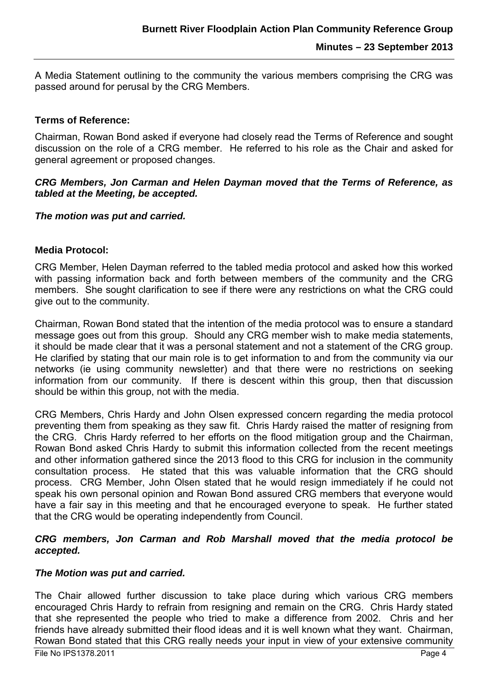A Media Statement outlining to the community the various members comprising the CRG was passed around for perusal by the CRG Members.

#### **Terms of Reference:**

Chairman, Rowan Bond asked if everyone had closely read the Terms of Reference and sought discussion on the role of a CRG member. He referred to his role as the Chair and asked for general agreement or proposed changes.

#### *CRG Members, Jon Carman and Helen Dayman moved that the Terms of Reference, as tabled at the Meeting, be accepted.*

#### *The motion was put and carried.*

#### **Media Protocol:**

CRG Member, Helen Dayman referred to the tabled media protocol and asked how this worked with passing information back and forth between members of the community and the CRG members. She sought clarification to see if there were any restrictions on what the CRG could give out to the community.

Chairman, Rowan Bond stated that the intention of the media protocol was to ensure a standard message goes out from this group. Should any CRG member wish to make media statements, it should be made clear that it was a personal statement and not a statement of the CRG group. He clarified by stating that our main role is to get information to and from the community via our networks (ie using community newsletter) and that there were no restrictions on seeking information from our community. If there is descent within this group, then that discussion should be within this group, not with the media.

CRG Members, Chris Hardy and John Olsen expressed concern regarding the media protocol preventing them from speaking as they saw fit. Chris Hardy raised the matter of resigning from the CRG. Chris Hardy referred to her efforts on the flood mitigation group and the Chairman, Rowan Bond asked Chris Hardy to submit this information collected from the recent meetings and other information gathered since the 2013 flood to this CRG for inclusion in the community consultation process. He stated that this was valuable information that the CRG should process. CRG Member, John Olsen stated that he would resign immediately if he could not speak his own personal opinion and Rowan Bond assured CRG members that everyone would have a fair say in this meeting and that he encouraged everyone to speak. He further stated that the CRG would be operating independently from Council.

#### *CRG members, Jon Carman and Rob Marshall moved that the media protocol be accepted.*

#### *The Motion was put and carried.*

The Chair allowed further discussion to take place during which various CRG members encouraged Chris Hardy to refrain from resigning and remain on the CRG. Chris Hardy stated that she represented the people who tried to make a difference from 2002. Chris and her friends have already submitted their flood ideas and it is well known what they want. Chairman, Rowan Bond stated that this CRG really needs your input in view of your extensive community